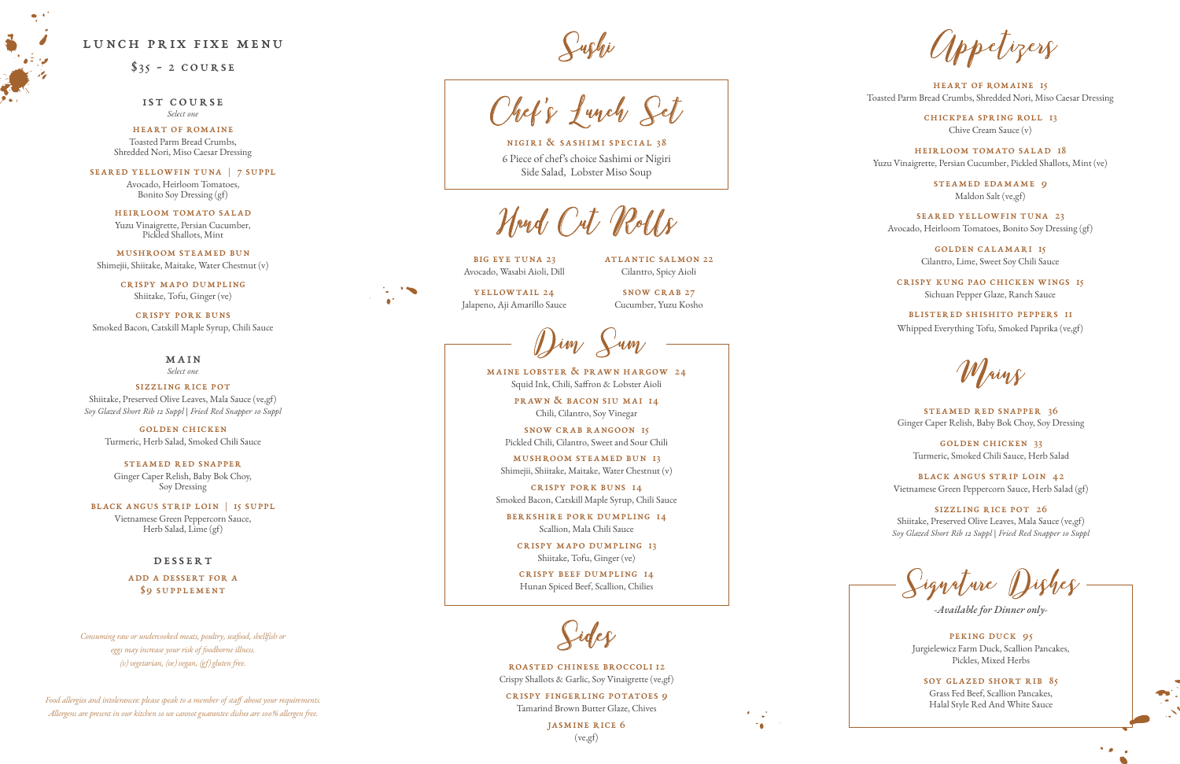## lunch prix fixe menu

 $$35 - 2 COURSE$ 

1st course *Select one*

heart of romaine Toasted Parm Bread Crumbs, Shredded Nori, Miso Caesar Dressing

seared yellowfin tuna | 7 suppl

Avocado, Heirloom Tomatoes, Bonito Soy Dressing (gf)

heirloom tomato salad Yuzu Vinaigrette, Persian Cucumber, Pickled Shallots, Mint

mushroom steamed bun Shimejii, Shiitake, Maitake, Water Chestnut (v)

> steamed red snapper Ginger Caper Relish, Baby Bok Choy, Soy Dressing

crispy mapo dumpling Shiitake, Tofu, Ginger (ve)

crispy pork buns Smoked Bacon, Catskill Maple Syrup, Chili Sauce

> main *Select one*

sizzling rice pot Shiitake, Preserved Olive Leaves, Mala Sauce (ve,gf) *Soy Glazed Short Rib 12 Suppl | Fried Red Snapper 10 Suppl*

> golden chicken Turmeric, Herb Salad, Smoked Chili Sauce

> > PEKING DUCK 95 Jurgielewicz Farm Duck, Scallion Pancakes, Pickles, Mixed Herbs

black angus strip loin | 15 suppl Vietnamese Green Peppercorn Sauce, Herb Salad, Lime (gf)

#### **DESSERT**

add a dessert for a \$9 supplement

maine lobster & prawn hargow 24 Squid Ink, Chili, Saffron & Lobster Aioli

> prawn & bacon siu mai 14 Chili, Cilantro, Soy Vinegar

snow crab rangoon 15 Pickled Chili, Cilantro, Sweet and Sour Chili

mushroom steamed bun 13 Shimejii, Shiitake, Maitake, Water Chestnut (v)

crispy pork buns 14 Smoked Bacon, Catskill Maple Syrup, Chili Sauce

berkshire pork dumpling 14 Scallion, Mala Chili Sauce

crispy mapo dumpling 13 Shiitake, Tofu, Ginger (ve)

crispy beef dumpling 14 Hunan Spiced Beef, Scallion, Chilies

> soy glazed short rib 85 Grass Fed Beef, Scallion Pancakes, Halal Style Red And White Sauce

> > $\bullet$

*-Available for Dinner only-*

SNOW CRAB 27 Cucumber, Yuzu Kosho

heart of romaine 15 Toasted Parm Bread Crumbs, Shredded Nori, Miso Caesar Dressing

chickpea spring roll 13 Chive Cream Sauce (v)

heirloom tomato salad 18 Yuzu Vinaigrette, Persian Cucumber, Pickled Shallots, Mint (ve)

> steamed edamame 9 Maldon Salt (ve,gf)

seared yellowfin tuna 23 Avocado, Heirloom Tomatoes, Bonito Soy Dressing (gf)

> golden calamari 15 Cilantro, Lime, Sweet Soy Chili Sauce

crispy kung pao chicken wings 15 Sichuan Pepper Glaze, Ranch Sauce

blistered shishito peppers 11 Whipped Everything Tofu, Smoked Paprika (ve,gf)

Mains

steamed red snapper 36 Ginger Caper Relish, Baby Bok Choy, Soy Dressing

golden chicken 33 Turmeric, Smoked Chili Sauce, Herb Salad

black angus strip loin 42 Vietnamese Green Peppercorn Sauce, Herb Salad (gf)

sizzling rice pot 26 Shiitake, Preserved Olive Leaves, Mala Sauce (ve,gf) *Soy Glazed Short Rib 12 Suppl | Fried Red Snapper 10 Suppl*

ignal ure



roasted chinese broccoli 12 Crispy Shallots & Garlic, Soy Vinaigrette (ve,gf)

crispy fingerling potatoes 9 Tamarind Brown Butter Glaze, Chives

> jasmine rice 6 (ve,gf)



pelizers

Hand Cut Rolls

Sushi



nigiri & sashimi special 38 6 Piece of chef's choice Sashimi or Nigiri Side Salad, Lobster Miso Soup

*Consuming raw or undercooked meats, poultry, seafood, shellfish or eggs may increase your risk of foodborne illness. (v) vegetarian, (ve) vegan, (gf) gluten free.*

*Food allergies and intolerances: please speak to a member of staff about your requirements. Allergens are present in our kitchen so we cannot guarantee dishes are 100% allergen free.* 

atlantic salmon 22 Cilantro, Spicy Aioli

big eye tuna 23 Avocado, Wasabi Aioli, Dill

yellowtail 24 Jalapeno, Aji Amarillo Sauce